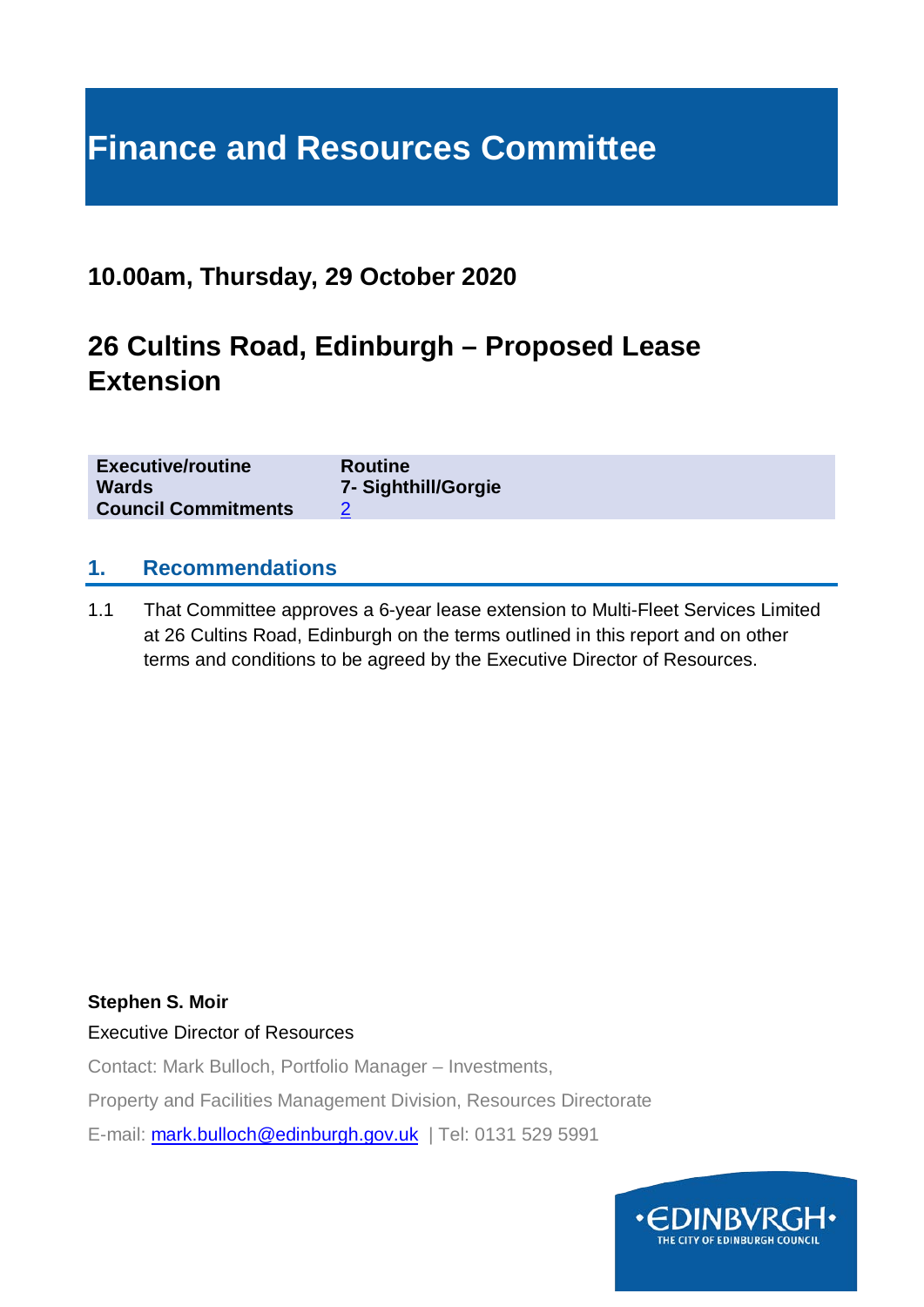# **Finance and Resources Committee**

# **10.00am, Thursday, 29 October 2020**

# **26 Cultins Road, Edinburgh – Proposed Lease Extension**

| <b>Executive/routine</b>   | <b>Routine</b>      |
|----------------------------|---------------------|
| <b>Wards</b>               | 7- Sighthill/Gorgie |
| <b>Council Commitments</b> |                     |

#### **1. Recommendations**

1.1 That Committee approves a 6-year lease extension to Multi-Fleet Services Limited at 26 Cultins Road, Edinburgh on the terms outlined in this report and on other terms and conditions to be agreed by the Executive Director of Resources.

#### **Stephen S. Moir**

Executive Director of Resources

Contact: Mark Bulloch, Portfolio Manager – Investments,

Property and Facilities Management Division, Resources Directorate

E-mail: [mark.bulloch@edinburgh.gov.uk](mailto:mark.bulloch@edinburgh.gov.uk) | Tel: 0131 529 5991

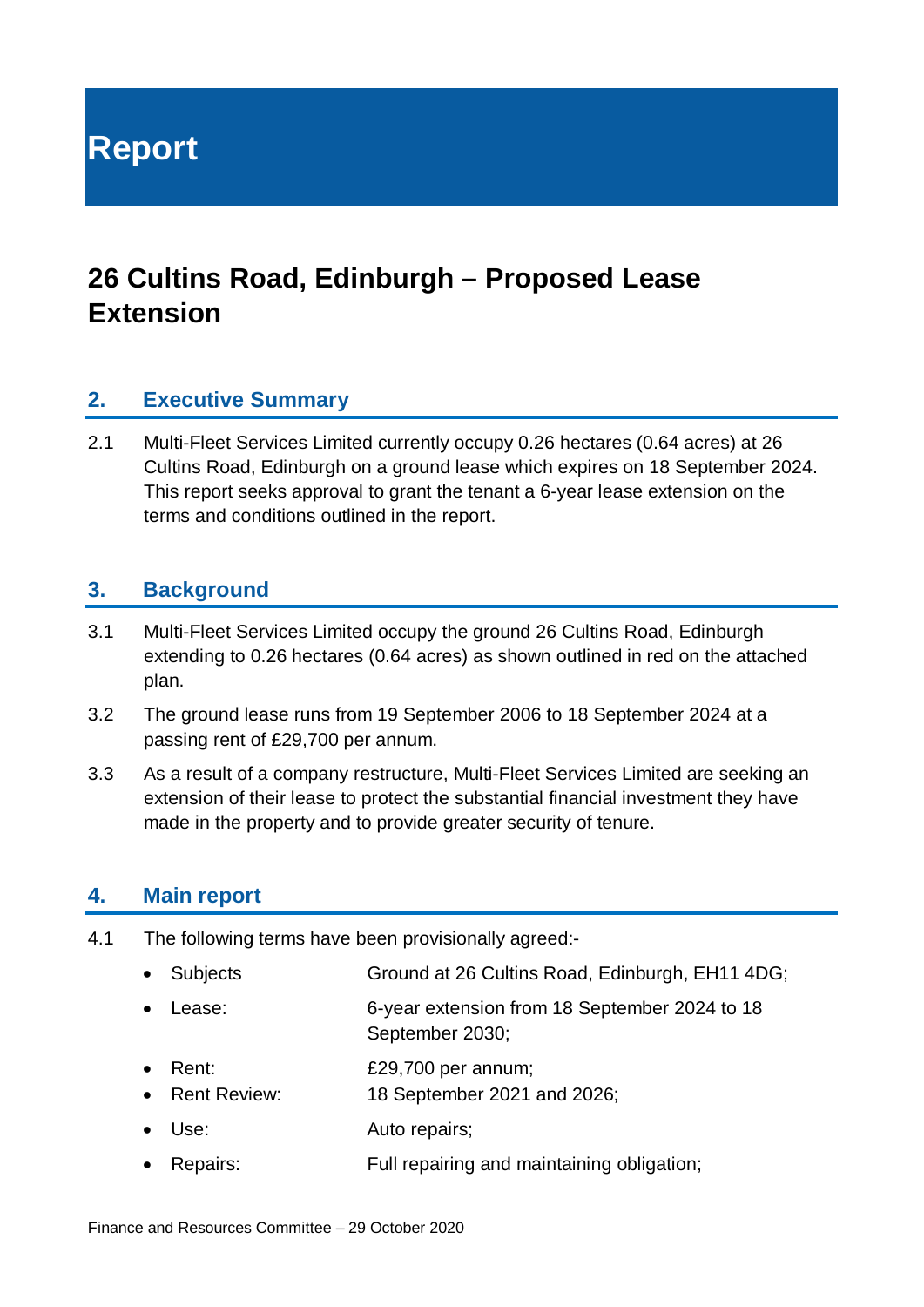**Report**

# **26 Cultins Road, Edinburgh – Proposed Lease Extension**

### **2. Executive Summary**

2.1 Multi-Fleet Services Limited currently occupy 0.26 hectares (0.64 acres) at 26 Cultins Road, Edinburgh on a ground lease which expires on 18 September 2024. This report seeks approval to grant the tenant a 6-year lease extension on the terms and conditions outlined in the report.

#### **3. Background**

- 3.1 Multi-Fleet Services Limited occupy the ground 26 Cultins Road, Edinburgh extending to 0.26 hectares (0.64 acres) as shown outlined in red on the attached plan.
- 3.2 The ground lease runs from 19 September 2006 to 18 September 2024 at a passing rent of £29,700 per annum.
- 3.3 As a result of a company restructure, Multi-Fleet Services Limited are seeking an extension of their lease to protect the substantial financial investment they have made in the property and to provide greater security of tenure.

#### **4. Main report**

- 4.1 The following terms have been provisionally agreed:-
	- Subjects Ground at 26 Cultins Road, Edinburgh, EH11 4DG;
	- Lease: 6-year extension from 18 September 2024 to 18 September 2030;
	- Rent: £29,700 per annum;
	- Rent Review: 18 September 2021 and 2026;
	- Use: Auto repairs;
	- Repairs: Full repairing and maintaining obligation;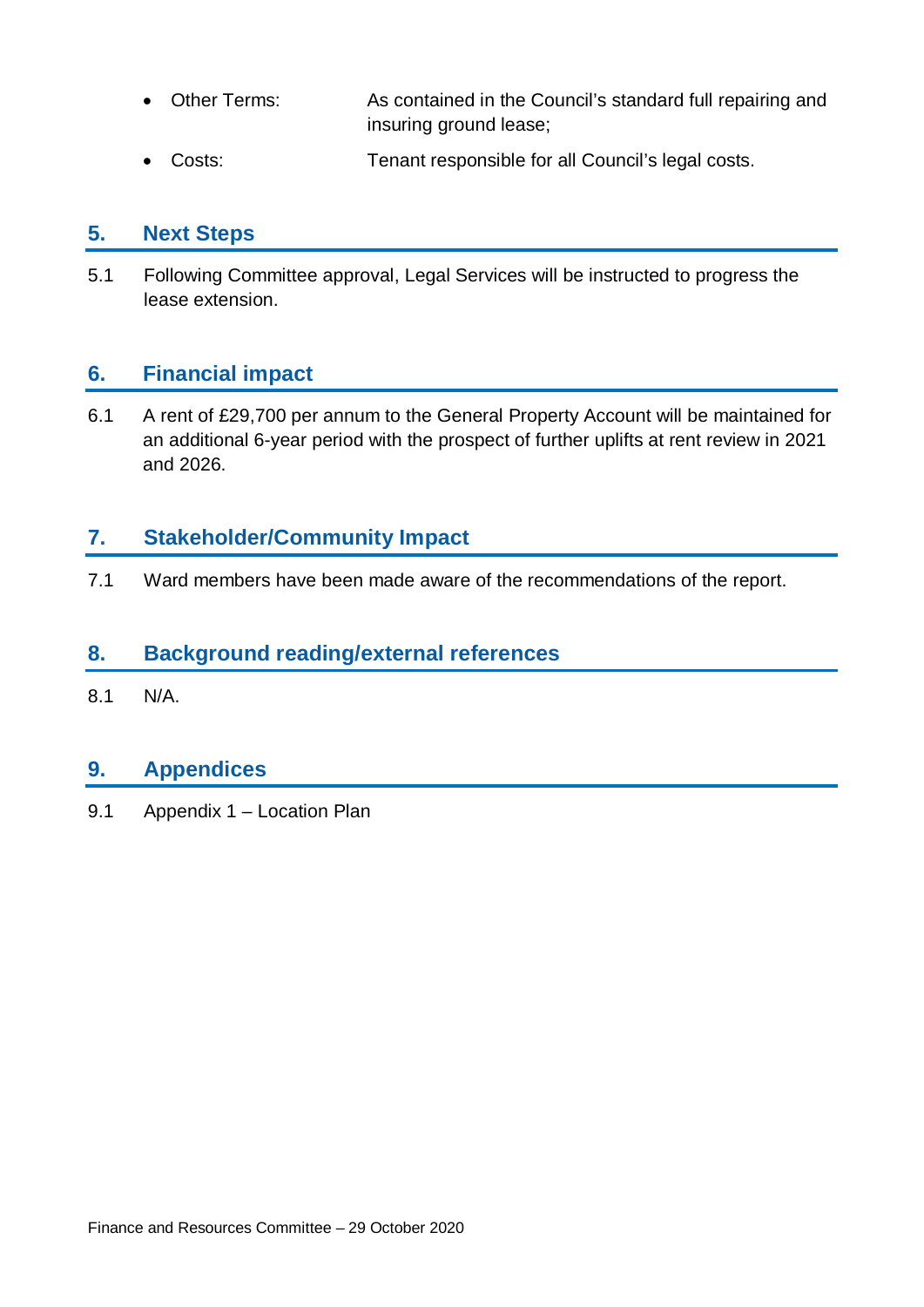- Other Terms: As contained in the Council's standard full repairing and insuring ground lease;
- Costs: Tenant responsible for all Council's legal costs.

# **5. Next Steps**

5.1 Following Committee approval, Legal Services will be instructed to progress the lease extension.

# **6. Financial impact**

6.1 A rent of £29,700 per annum to the General Property Account will be maintained for an additional 6-year period with the prospect of further uplifts at rent review in 2021 and 2026.

# **7. Stakeholder/Community Impact**

7.1 Ward members have been made aware of the recommendations of the report.

### **8. Background reading/external references**

8.1 N/A.

# **9. Appendices**

9.1 Appendix 1 – Location Plan